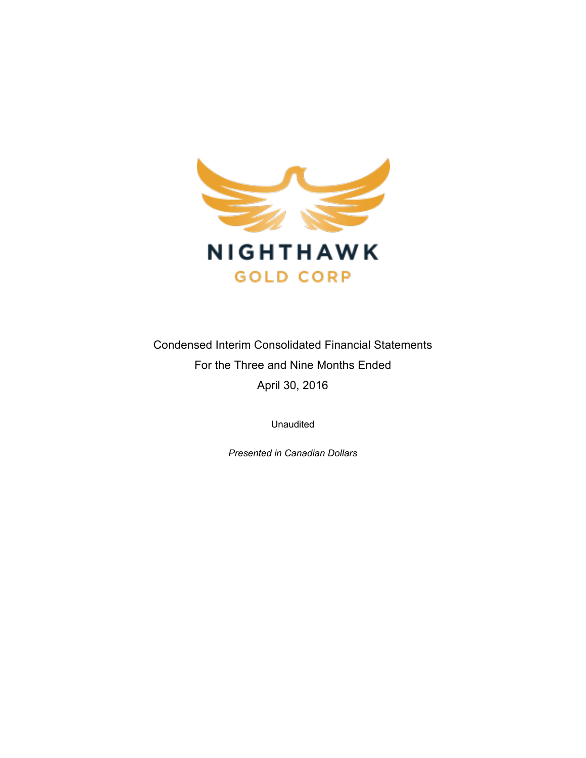

Condensed Interim Consolidated Financial Statements For the Three and Nine Months Ended April 30, 2016

Unaudited

*Presented in Canadian Dollars*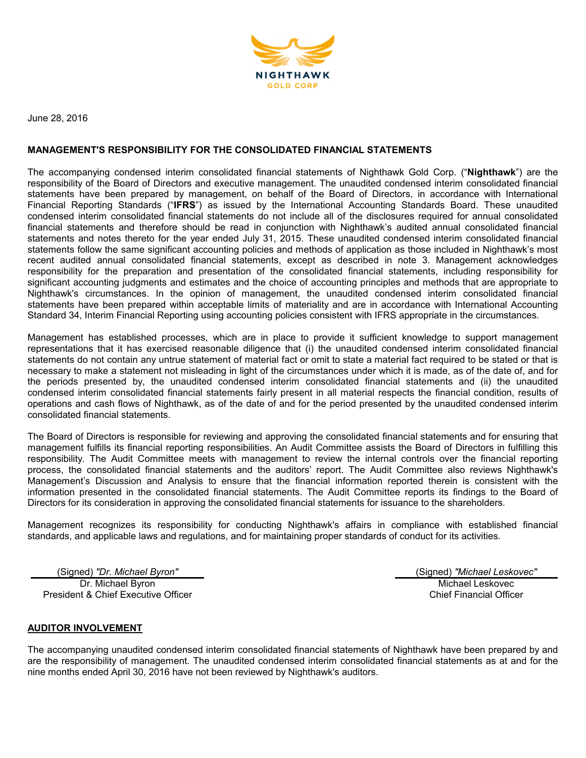

June 28, 2016

#### **MANAGEMENT'S RESPONSIBILITY FOR THE CONSOLIDATED FINANCIAL STATEMENTS**

The accompanying condensed interim consolidated financial statements of Nighthawk Gold Corp. ("**Nighthawk**") are the responsibility of the Board of Directors and executive management. The unaudited condensed interim consolidated financial statements have been prepared by management, on behalf of the Board of Directors, in accordance with International Financial Reporting Standards ("**IFRS**") as issued by the International Accounting Standards Board. These unaudited condensed interim consolidated financial statements do not include all of the disclosures required for annual consolidated financial statements and therefore should be read in conjunction with Nighthawk's audited annual consolidated financial statements and notes thereto for the year ended July 31, 2015. These unaudited condensed interim consolidated financial statements follow the same significant accounting policies and methods of application as those included in Nighthawk's most recent audited annual consolidated financial statements, except as described in note 3. Management acknowledges responsibility for the preparation and presentation of the consolidated financial statements, including responsibility for significant accounting judgments and estimates and the choice of accounting principles and methods that are appropriate to Nighthawk's circumstances. In the opinion of management, the unaudited condensed interim consolidated financial statements have been prepared within acceptable limits of materiality and are in accordance with International Accounting Standard 34, Interim Financial Reporting using accounting policies consistent with IFRS appropriate in the circumstances.

Management has established processes, which are in place to provide it sufficient knowledge to support management representations that it has exercised reasonable diligence that (i) the unaudited condensed interim consolidated financial statements do not contain any untrue statement of material fact or omit to state a material fact required to be stated or that is necessary to make a statement not misleading in light of the circumstances under which it is made, as of the date of, and for the periods presented by, the unaudited condensed interim consolidated financial statements and (ii) the unaudited condensed interim consolidated financial statements fairly present in all material respects the financial condition, results of operations and cash flows of Nighthawk, as of the date of and for the period presented by the unaudited condensed interim consolidated financial statements.

The Board of Directors is responsible for reviewing and approving the consolidated financial statements and for ensuring that management fulfills its financial reporting responsibilities. An Audit Committee assists the Board of Directors in fulfilling this responsibility. The Audit Committee meets with management to review the internal controls over the financial reporting process, the consolidated financial statements and the auditors' report. The Audit Committee also reviews Nighthawk's Management's Discussion and Analysis to ensure that the financial information reported therein is consistent with the information presented in the consolidated financial statements. The Audit Committee reports its findings to the Board of Directors for its consideration in approving the consolidated financial statements for issuance to the shareholders.

Management recognizes its responsibility for conducting Nighthawk's affairs in compliance with established financial standards, and applicable laws and regulations, and for maintaining proper standards of conduct for its activities.

(Signed) *"Dr. Michael Byron"* (Signed) *"Michael Leskovec"* Dr. Michael Byron

President & Chief Executive Officer

Michael Leskovec Chief Financial Officer

# **AUDITOR INVOLVEMENT**

The accompanying unaudited condensed interim consolidated financial statements of Nighthawk have been prepared by and are the responsibility of management. The unaudited condensed interim consolidated financial statements as at and for the nine months ended April 30, 2016 have not been reviewed by Nighthawk's auditors.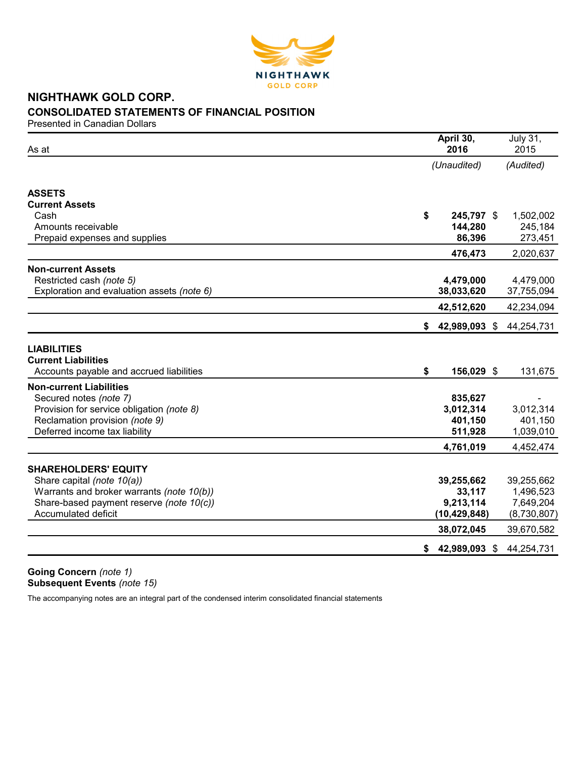

# **NIGHTHAWK GOLD CORP. CONSOLIDATED STATEMENTS OF FINANCIAL POSITION**

Presented in Canadian Dollars

| As at                                                                                        | April 30,<br>2016   | <b>July 31,</b><br>2015 |
|----------------------------------------------------------------------------------------------|---------------------|-------------------------|
|                                                                                              | (Unaudited)         | (Audited)               |
| <b>ASSETS</b>                                                                                |                     |                         |
| <b>Current Assets</b>                                                                        |                     |                         |
| Cash                                                                                         | \$<br>245,797 \$    | 1,502,002               |
| Amounts receivable                                                                           | 144,280             | 245,184                 |
| Prepaid expenses and supplies                                                                | 86,396              | 273,451                 |
|                                                                                              | 476,473             | 2,020,637               |
| <b>Non-current Assets</b>                                                                    |                     |                         |
| Restricted cash (note 5)                                                                     | 4,479,000           | 4,479,000               |
| Exploration and evaluation assets (note 6)                                                   | 38,033,620          | 37,755,094              |
|                                                                                              | 42,512,620          | 42,234,094              |
|                                                                                              | 42,989,093 \$<br>\$ | 44,254,731              |
| <b>LIABILITIES</b><br><b>Current Liabilities</b><br>Accounts payable and accrued liabilities | \$<br>156,029 \$    | 131,675                 |
| <b>Non-current Liabilities</b>                                                               |                     |                         |
| Secured notes (note 7)                                                                       | 835,627             |                         |
| Provision for service obligation (note 8)                                                    | 3,012,314           | 3,012,314               |
| Reclamation provision (note 9)                                                               | 401,150             | 401,150                 |
| Deferred income tax liability                                                                | 511,928             | 1,039,010               |
|                                                                                              | 4,761,019           | 4,452,474               |
|                                                                                              |                     |                         |
| <b>SHAREHOLDERS' EQUITY</b>                                                                  |                     |                         |
| Share capital (note 10(a))                                                                   | 39,255,662          | 39,255,662              |
| Warrants and broker warrants (note 10(b))                                                    | 33,117              | 1,496,523               |
| Share-based payment reserve (note 10(c))                                                     | 9,213,114           | 7,649,204               |
| Accumulated deficit                                                                          | (10, 429, 848)      | (8,730,807)             |
|                                                                                              | 38,072,045          | 39,670,582              |
|                                                                                              | 42,989,093 \$<br>\$ | 44,254,731              |

**Going Concern** *(note 1)* **Subsequent Events** *(note 15)*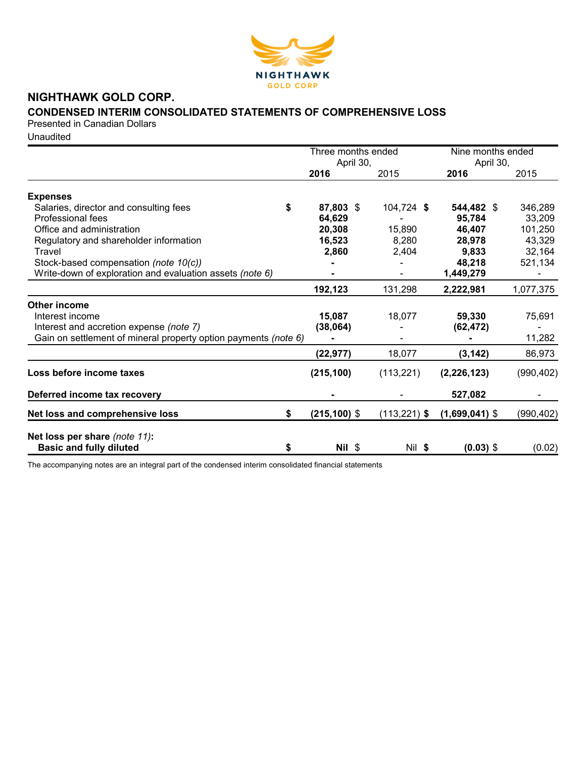

# **NIGHTHAWK GOLD CORP.**

# **CONDENSED INTERIM CONSOLIDATED STATEMENTS OF COMPREHENSIVE LOSS**

Presented in Canadian Dollars

**Unaudited** 

|                                                                 |                 | Three months ended<br>April 30, |                   | Nine months ended |  |
|-----------------------------------------------------------------|-----------------|---------------------------------|-------------------|-------------------|--|
|                                                                 | 2016            | 2015                            | April 30,<br>2016 | 2015              |  |
| <b>Expenses</b>                                                 |                 |                                 |                   |                   |  |
| \$<br>Salaries, director and consulting fees                    | 87,803 \$       | 104,724 \$                      | 544,482 \$        | 346,289           |  |
| Professional fees                                               | 64,629          |                                 | 95,784            | 33,209            |  |
| Office and administration                                       | 20,308          | 15,890                          | 46,407            | 101,250           |  |
| Regulatory and shareholder information                          | 16,523          | 8,280                           | 28,978            | 43,329            |  |
| Travel                                                          | 2,860           | 2,404                           | 9,833             | 32,164            |  |
| Stock-based compensation (note 10(c))                           |                 |                                 | 48,218            | 521,134           |  |
| Write-down of exploration and evaluation assets (note 6)        |                 |                                 | 1,449,279         |                   |  |
|                                                                 | 192,123         | 131,298                         | 2,222,981         | 1,077,375         |  |
| Other income                                                    |                 |                                 |                   |                   |  |
| Interest income                                                 | 15,087          | 18,077                          | 59,330            | 75,691            |  |
| Interest and accretion expense (note 7)                         | (38,064)        |                                 | (62, 472)         |                   |  |
| Gain on settlement of mineral property option payments (note 6) |                 |                                 |                   | 11,282            |  |
|                                                                 | (22, 977)       | 18,077                          | (3, 142)          | 86,973            |  |
| Loss before income taxes                                        | (215, 100)      | (113, 221)                      | (2, 226, 123)     | (990, 402)        |  |
| Deferred income tax recovery                                    |                 |                                 | 527,082           |                   |  |
| Net loss and comprehensive loss<br>\$                           | $(215, 100)$ \$ | $(113, 221)$ \$                 | $(1,699,041)$ \$  | (990, 402)        |  |
| Net loss per share (note 11):                                   |                 |                                 |                   |                   |  |
| <b>Basic and fully diluted</b><br>\$                            | $Nil$ \$        | Nil \$                          | $(0.03)$ \$       | (0.02)            |  |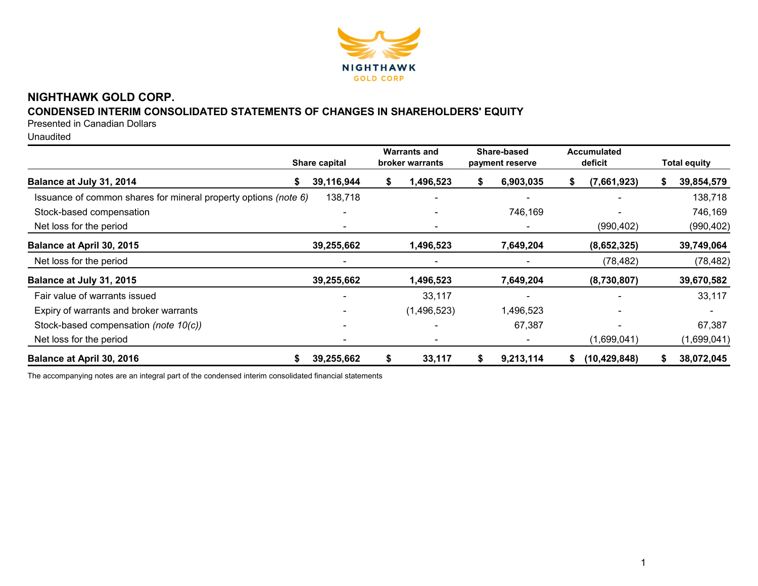

# **NIGHTHAWK GOLD CORP.**

# **CONDENSED INTERIM CONSOLIDATED STATEMENTS OF CHANGES IN SHAREHOLDERS' EQUITY**

Presented in Canadian Dollars

Unaudited

|                                                                 |    | Share capital |    | <b>Warrants and</b><br>broker warrants |    | Share-based<br>payment reserve |    | <b>Accumulated</b><br>deficit |   | <b>Total equity</b> |
|-----------------------------------------------------------------|----|---------------|----|----------------------------------------|----|--------------------------------|----|-------------------------------|---|---------------------|
| Balance at July 31, 2014                                        | S. | 39,116,944    | S  | 1,496,523                              | S. | 6,903,035                      | ъ  | (7,661,923)                   | S | 39,854,579          |
| Issuance of common shares for mineral property options (note 6) |    | 138,718       |    |                                        |    |                                |    |                               |   | 138,718             |
| Stock-based compensation                                        |    |               |    |                                        |    | 746,169                        |    |                               |   | 746,169             |
| Net loss for the period                                         |    |               |    |                                        |    |                                |    | (990, 402)                    |   | (990, 402)          |
| Balance at April 30, 2015                                       |    | 39,255,662    |    | 1,496,523                              |    | 7,649,204                      |    | (8,652,325)                   |   | 39,749,064          |
| Net loss for the period                                         |    |               |    |                                        |    |                                |    | (78, 482)                     |   | (78, 482)           |
| Balance at July 31, 2015                                        |    | 39,255,662    |    | 1,496,523                              |    | 7,649,204                      |    | (8,730,807)                   |   | 39,670,582          |
| Fair value of warrants issued                                   |    |               |    | 33,117                                 |    |                                |    |                               |   | 33,117              |
| Expiry of warrants and broker warrants                          |    |               |    | (1,496,523)                            |    | 1,496,523                      |    |                               |   |                     |
| Stock-based compensation (note 10(c))                           |    |               |    |                                        |    | 67,387                         |    |                               |   | 67,387              |
| Net loss for the period                                         |    |               |    |                                        |    |                                |    | (1,699,041)                   |   | (1,699,041)         |
| Balance at April 30, 2016                                       | S. | 39,255,662    | \$ | 33,117                                 | S. | 9,213,114                      | S. | (10, 429, 848)                |   | 38,072,045          |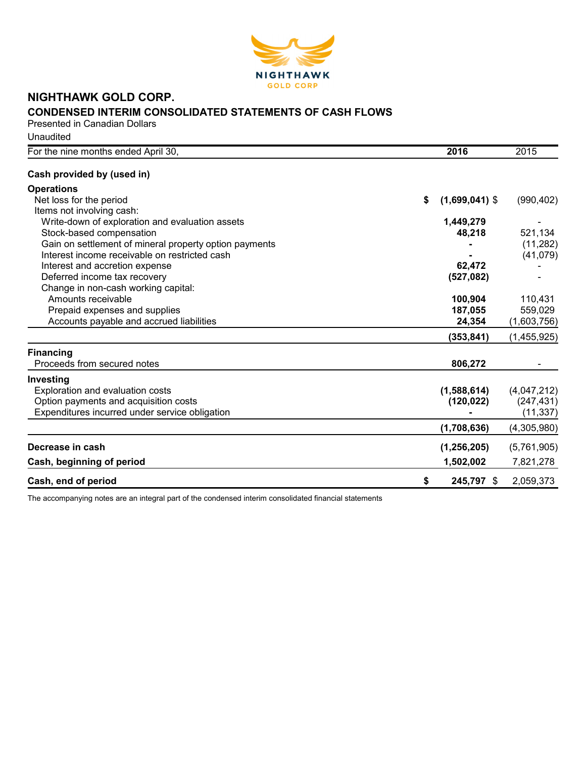

# **NIGHTHAWK GOLD CORP. CONDENSED INTERIM CONSOLIDATED STATEMENTS OF CASH FLOWS**

Presented in Canadian Dollars Unaudited

| For the nine months ended April 30,                    | 2016                   | 2015        |
|--------------------------------------------------------|------------------------|-------------|
| Cash provided by (used in)                             |                        |             |
| <b>Operations</b>                                      |                        |             |
| Net loss for the period                                | \$<br>$(1,699,041)$ \$ | (990, 402)  |
| Items not involving cash:                              |                        |             |
| Write-down of exploration and evaluation assets        | 1,449,279              |             |
| Stock-based compensation                               | 48,218                 | 521,134     |
| Gain on settlement of mineral property option payments |                        | (11, 282)   |
| Interest income receivable on restricted cash          |                        | (41,079)    |
| Interest and accretion expense                         | 62,472                 |             |
| Deferred income tax recovery                           | (527,082)              |             |
| Change in non-cash working capital:                    |                        |             |
| Amounts receivable                                     | 100,904                | 110,431     |
| Prepaid expenses and supplies                          | 187,055                | 559,029     |
| Accounts payable and accrued liabilities               | 24,354                 | (1,603,756) |
|                                                        | (353, 841)             | (1,455,925) |
| <b>Financing</b>                                       |                        |             |
| Proceeds from secured notes                            | 806,272                |             |
| Investing                                              |                        |             |
| Exploration and evaluation costs                       | (1,588,614)            | (4,047,212) |
| Option payments and acquisition costs                  | (120, 022)             | (247, 431)  |
| Expenditures incurred under service obligation         |                        | (11, 337)   |
|                                                        | (1,708,636)            | (4,305,980) |
| Decrease in cash                                       | (1, 256, 205)          | (5,761,905) |
| Cash, beginning of period                              | 1,502,002              | 7,821,278   |
| Cash, end of period                                    | \$<br>245,797 \$       | 2,059,373   |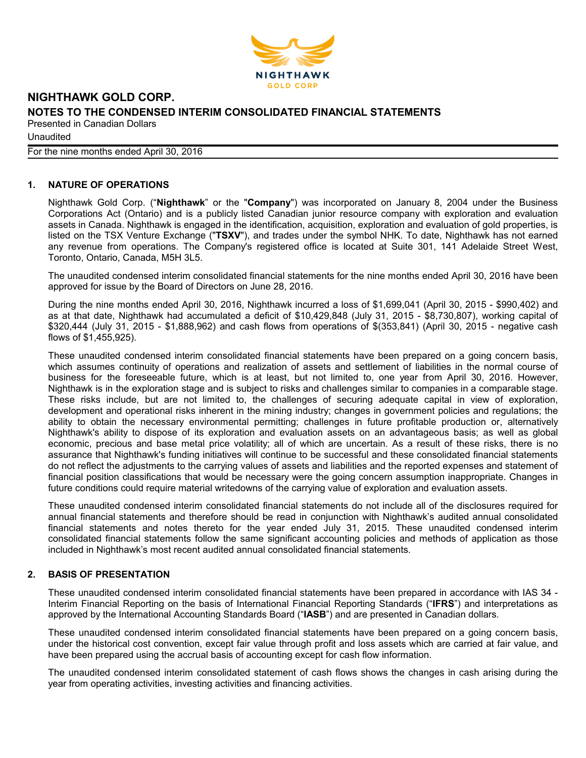

**Unaudited** 

For the nine months ended April 30, 2016

# **1. NATURE OF OPERATIONS**

Nighthawk Gold Corp. ("**Nighthawk**" or the "**Company**") was incorporated on January 8, 2004 under the Business Corporations Act (Ontario) and is a publicly listed Canadian junior resource company with exploration and evaluation assets in Canada. Nighthawk is engaged in the identification, acquisition, exploration and evaluation of gold properties, is listed on the TSX Venture Exchange ("**TSXV**"), and trades under the symbol NHK. To date, Nighthawk has not earned any revenue from operations. The Company's registered office is located at Suite 301, 141 Adelaide Street West, Toronto, Ontario, Canada, M5H 3L5.

The unaudited condensed interim consolidated financial statements for the nine months ended April 30, 2016 have been approved for issue by the Board of Directors on June 28, 2016.

During the nine months ended April 30, 2016, Nighthawk incurred a loss of \$1,699,041 (April 30, 2015 - \$990,402) and as at that date, Nighthawk had accumulated a deficit of \$10,429,848 (July 31, 2015 - \$8,730,807), working capital of \$320,444 (July 31, 2015 - \$1,888,962) and cash flows from operations of \$(353,841) (April 30, 2015 - negative cash flows of \$1,455,925).

These unaudited condensed interim consolidated financial statements have been prepared on a going concern basis, which assumes continuity of operations and realization of assets and settlement of liabilities in the normal course of business for the foreseeable future, which is at least, but not limited to, one year from April 30, 2016. However, Nighthawk is in the exploration stage and is subject to risks and challenges similar to companies in a comparable stage. These risks include, but are not limited to, the challenges of securing adequate capital in view of exploration, development and operational risks inherent in the mining industry; changes in government policies and regulations; the ability to obtain the necessary environmental permitting; challenges in future profitable production or, alternatively Nighthawk's ability to dispose of its exploration and evaluation assets on an advantageous basis; as well as global economic, precious and base metal price volatility; all of which are uncertain. As a result of these risks, there is no assurance that Nighthawk's funding initiatives will continue to be successful and these consolidated financial statements do not reflect the adjustments to the carrying values of assets and liabilities and the reported expenses and statement of financial position classifications that would be necessary were the going concern assumption inappropriate. Changes in future conditions could require material writedowns of the carrying value of exploration and evaluation assets.

These unaudited condensed interim consolidated financial statements do not include all of the disclosures required for annual financial statements and therefore should be read in conjunction with Nighthawk's audited annual consolidated financial statements and notes thereto for the year ended July 31, 2015. These unaudited condensed interim consolidated financial statements follow the same significant accounting policies and methods of application as those included in Nighthawk's most recent audited annual consolidated financial statements.

# **2. BASIS OF PRESENTATION**

These unaudited condensed interim consolidated financial statements have been prepared in accordance with IAS 34 - Interim Financial Reporting on the basis of International Financial Reporting Standards ("**IFRS**") and interpretations as approved by the International Accounting Standards Board ("**IASB**") and are presented in Canadian dollars.

These unaudited condensed interim consolidated financial statements have been prepared on a going concern basis, under the historical cost convention, except fair value through profit and loss assets which are carried at fair value, and have been prepared using the accrual basis of accounting except for cash flow information.

The unaudited condensed interim consolidated statement of cash flows shows the changes in cash arising during the year from operating activities, investing activities and financing activities.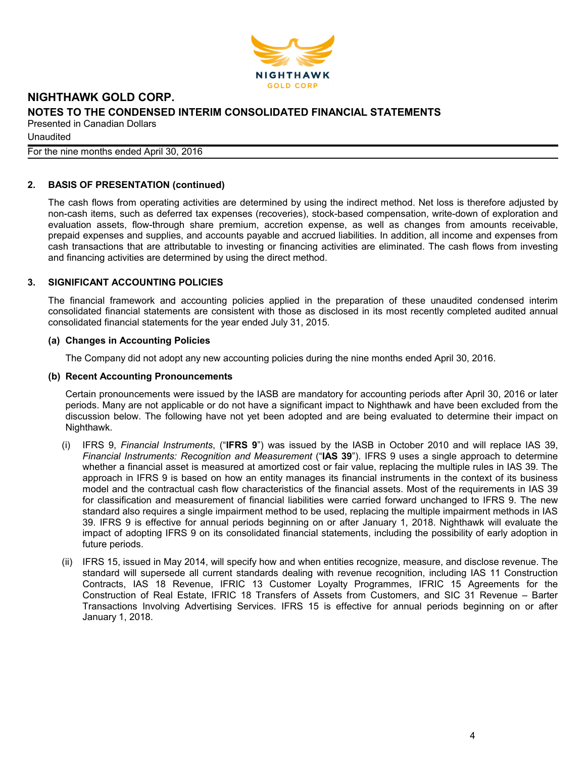

**Unaudited** For the nine months ended April 30, 2016

# **2. BASIS OF PRESENTATION (continued)**

The cash flows from operating activities are determined by using the indirect method. Net loss is therefore adjusted by non-cash items, such as deferred tax expenses (recoveries), stock-based compensation, write-down of exploration and evaluation assets, flow-through share premium, accretion expense, as well as changes from amounts receivable, prepaid expenses and supplies, and accounts payable and accrued liabilities. In addition, all income and expenses from cash transactions that are attributable to investing or financing activities are eliminated. The cash flows from investing and financing activities are determined by using the direct method.

#### **3. SIGNIFICANT ACCOUNTING POLICIES**

The financial framework and accounting policies applied in the preparation of these unaudited condensed interim consolidated financial statements are consistent with those as disclosed in its most recently completed audited annual consolidated financial statements for the year ended July 31, 2015.

#### **(a) Changes in Accounting Policies**

The Company did not adopt any new accounting policies during the nine months ended April 30, 2016.

#### **(b) Recent Accounting Pronouncements**

Certain pronouncements were issued by the IASB are mandatory for accounting periods after April 30, 2016 or later periods. Many are not applicable or do not have a significant impact to Nighthawk and have been excluded from the discussion below. The following have not yet been adopted and are being evaluated to determine their impact on Nighthawk.

- (i) IFRS 9, *Financial Instruments*, ("**IFRS 9**") was issued by the IASB in October 2010 and will replace IAS 39, *Financial Instruments: Recognition and Measurement* ("**IAS 39**"). IFRS 9 uses a single approach to determine whether a financial asset is measured at amortized cost or fair value, replacing the multiple rules in IAS 39. The approach in IFRS 9 is based on how an entity manages its financial instruments in the context of its business model and the contractual cash flow characteristics of the financial assets. Most of the requirements in IAS 39 for classification and measurement of financial liabilities were carried forward unchanged to IFRS 9. The new standard also requires a single impairment method to be used, replacing the multiple impairment methods in IAS 39. IFRS 9 is effective for annual periods beginning on or after January 1, 2018. Nighthawk will evaluate the impact of adopting IFRS 9 on its consolidated financial statements, including the possibility of early adoption in future periods.
- (ii) IFRS 15, issued in May 2014, will specify how and when entities recognize, measure, and disclose revenue. The standard will supersede all current standards dealing with revenue recognition, including IAS 11 Construction Contracts, IAS 18 Revenue, IFRIC 13 Customer Loyalty Programmes, IFRIC 15 Agreements for the Construction of Real Estate, IFRIC 18 Transfers of Assets from Customers, and SIC 31 Revenue – Barter Transactions Involving Advertising Services. IFRS 15 is effective for annual periods beginning on or after January 1, 2018.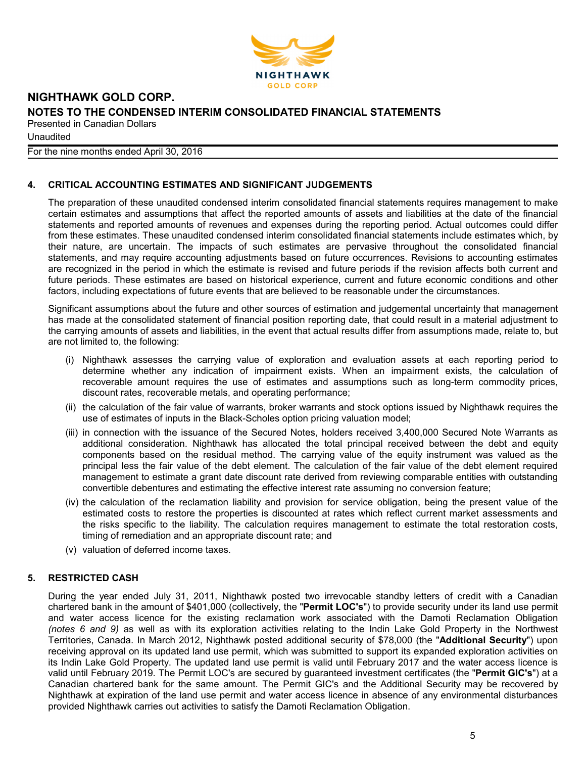

**Unaudited** 

For the nine months ended April 30, 2016

# **4. CRITICAL ACCOUNTING ESTIMATES AND SIGNIFICANT JUDGEMENTS**

The preparation of these unaudited condensed interim consolidated financial statements requires management to make certain estimates and assumptions that affect the reported amounts of assets and liabilities at the date of the financial statements and reported amounts of revenues and expenses during the reporting period. Actual outcomes could differ from these estimates. These unaudited condensed interim consolidated financial statements include estimates which, by their nature, are uncertain. The impacts of such estimates are pervasive throughout the consolidated financial statements, and may require accounting adjustments based on future occurrences. Revisions to accounting estimates are recognized in the period in which the estimate is revised and future periods if the revision affects both current and future periods. These estimates are based on historical experience, current and future economic conditions and other factors, including expectations of future events that are believed to be reasonable under the circumstances.

Significant assumptions about the future and other sources of estimation and judgemental uncertainty that management has made at the consolidated statement of financial position reporting date, that could result in a material adjustment to the carrying amounts of assets and liabilities, in the event that actual results differ from assumptions made, relate to, but are not limited to, the following:

- (i) Nighthawk assesses the carrying value of exploration and evaluation assets at each reporting period to determine whether any indication of impairment exists. When an impairment exists, the calculation of recoverable amount requires the use of estimates and assumptions such as long-term commodity prices, discount rates, recoverable metals, and operating performance;
- (ii) the calculation of the fair value of warrants, broker warrants and stock options issued by Nighthawk requires the use of estimates of inputs in the Black-Scholes option pricing valuation model;
- (iii) in connection with the issuance of the Secured Notes, holders received 3,400,000 Secured Note Warrants as additional consideration. Nighthawk has allocated the total principal received between the debt and equity components based on the residual method. The carrying value of the equity instrument was valued as the principal less the fair value of the debt element. The calculation of the fair value of the debt element required management to estimate a grant date discount rate derived from reviewing comparable entities with outstanding convertible debentures and estimating the effective interest rate assuming no conversion feature;
- (iv) the calculation of the reclamation liability and provision for service obligation, being the present value of the estimated costs to restore the properties is discounted at rates which reflect current market assessments and the risks specific to the liability. The calculation requires management to estimate the total restoration costs, timing of remediation and an appropriate discount rate; and
- (v) valuation of deferred income taxes.

# **5. RESTRICTED CASH**

During the year ended July 31, 2011, Nighthawk posted two irrevocable standby letters of credit with a Canadian chartered bank in the amount of \$401,000 (collectively, the "**Permit LOC's**") to provide security under its land use permit and water access licence for the existing reclamation work associated with the Damoti Reclamation Obligation *(notes 6 and 9)* as well as with its exploration activities relating to the Indin Lake Gold Property in the Northwest Territories, Canada. In March 2012, Nighthawk posted additional security of \$78,000 (the "**Additional Security**") upon receiving approval on its updated land use permit, which was submitted to support its expanded exploration activities on its Indin Lake Gold Property. The updated land use permit is valid until February 2017 and the water access licence is valid until February 2019. The Permit LOC's are secured by guaranteed investment certificates (the "**Permit GIC's**") at a Canadian chartered bank for the same amount. The Permit GIC's and the Additional Security may be recovered by Nighthawk at expiration of the land use permit and water access licence in absence of any environmental disturbances provided Nighthawk carries out activities to satisfy the Damoti Reclamation Obligation.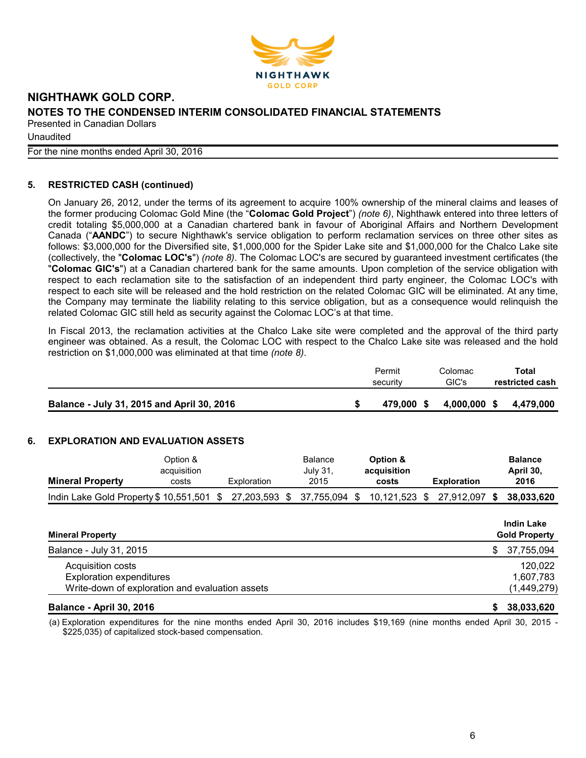

**Unaudited** 

For the nine months ended April 30, 2016

# **5. RESTRICTED CASH (continued)**

On January 26, 2012, under the terms of its agreement to acquire 100% ownership of the mineral claims and leases of the former producing Colomac Gold Mine (the "**Colomac Gold Project**") *(note 6)*, Nighthawk entered into three letters of credit totaling \$5,000,000 at a Canadian chartered bank in favour of Aboriginal Affairs and Northern Development Canada ("**AANDC**") to secure Nighthawk's service obligation to perform reclamation services on three other sites as follows: \$3,000,000 for the Diversified site, \$1,000,000 for the Spider Lake site and \$1,000,000 for the Chalco Lake site (collectively, the "**Colomac LOC's**") *(note 8)*. The Colomac LOC's are secured by guaranteed investment certificates (the "**Colomac GIC's**") at a Canadian chartered bank for the same amounts. Upon completion of the service obligation with respect to each reclamation site to the satisfaction of an independent third party engineer, the Colomac LOC's with respect to each site will be released and the hold restriction on the related Colomac GIC will be eliminated. At any time, the Company may terminate the liability relating to this service obligation, but as a consequence would relinquish the related Colomac GIC still held as security against the Colomac LOC's at that time.

In Fiscal 2013, the reclamation activities at the Chalco Lake site were completed and the approval of the third party engineer was obtained. As a result, the Colomac LOC with respect to the Chalco Lake site was released and the hold restriction on \$1,000,000 was eliminated at that time *(note 8)*.

|                                            | Permit<br>security | Colomac<br>GIC's | Total<br>restricted cash |
|--------------------------------------------|--------------------|------------------|--------------------------|
| Balance - July 31, 2015 and April 30, 2016 | 479.000 \$         | 4.000.000 \$     | 4.479.000                |

#### **6. EXPLORATION AND EVALUATION ASSETS**

|                                                                    | Option &<br>acquisition |             | <b>Balance</b><br>July 31, | Option &<br>acquisition |                                        | <b>Balance</b><br>April 30, |
|--------------------------------------------------------------------|-------------------------|-------------|----------------------------|-------------------------|----------------------------------------|-----------------------------|
| <b>Mineral Property</b>                                            | costs                   | Exploration | 2015                       | costs                   | <b>Exploration</b>                     | 2016                        |
| Indin Lake Gold Property \$10,551,501 \$27,203,593 \$37,755,094 \$ |                         |             |                            |                         | 10,121,523 \$ 27,912,097 \$ 38,033,620 |                             |

| <b>Mineral Property</b>                         | <b>Indin Lake</b><br><b>Gold Property</b> |
|-------------------------------------------------|-------------------------------------------|
| Balance - July 31, 2015                         | 37,755,094<br>S.                          |
| Acquisition costs                               | 120,022                                   |
| <b>Exploration expenditures</b>                 | 1,607,783                                 |
| Write-down of exploration and evaluation assets | (1,449,279)                               |
| .                                               | $\sim$ $\sim$ $\sim$ $\sim$ $\sim$ $\sim$ |

#### **Balance - April 30, 2016 \$ 38,033,620**

(a) Exploration expenditures for the nine months ended April 30, 2016 includes \$19,169 (nine months ended April 30, 2015 - \$225,035) of capitalized stock-based compensation.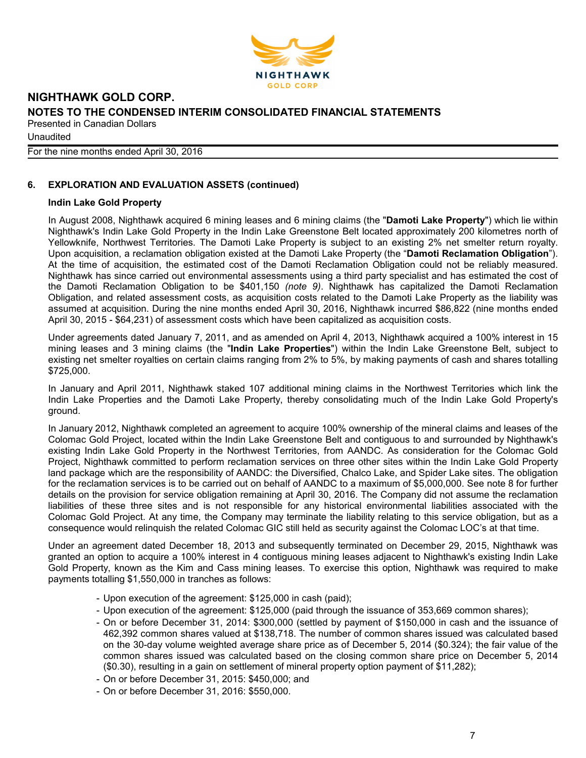

**Unaudited** 

For the nine months ended April 30, 2016

# **6. EXPLORATION AND EVALUATION ASSETS (continued)**

#### **Indin Lake Gold Property**

In August 2008, Nighthawk acquired 6 mining leases and 6 mining claims (the "**Damoti Lake Property**") which lie within Nighthawk's Indin Lake Gold Property in the Indin Lake Greenstone Belt located approximately 200 kilometres north of Yellowknife, Northwest Territories. The Damoti Lake Property is subject to an existing 2% net smelter return royalty. Upon acquisition, a reclamation obligation existed at the Damoti Lake Property (the "**Damoti Reclamation Obligation**"). At the time of acquisition, the estimated cost of the Damoti Reclamation Obligation could not be reliably measured. Nighthawk has since carried out environmental assessments using a third party specialist and has estimated the cost of the Damoti Reclamation Obligation to be \$401,150 *(note 9)*. Nighthawk has capitalized the Damoti Reclamation Obligation, and related assessment costs, as acquisition costs related to the Damoti Lake Property as the liability was assumed at acquisition. During the nine months ended April 30, 2016, Nighthawk incurred \$86,822 (nine months ended April 30, 2015 - \$64,231) of assessment costs which have been capitalized as acquisition costs.

Under agreements dated January 7, 2011, and as amended on April 4, 2013, Nighthawk acquired a 100% interest in 15 mining leases and 3 mining claims (the "**Indin Lake Properties**") within the Indin Lake Greenstone Belt, subject to existing net smelter royalties on certain claims ranging from 2% to 5%, by making payments of cash and shares totalling \$725,000.

In January and April 2011, Nighthawk staked 107 additional mining claims in the Northwest Territories which link the Indin Lake Properties and the Damoti Lake Property, thereby consolidating much of the Indin Lake Gold Property's ground.

In January 2012, Nighthawk completed an agreement to acquire 100% ownership of the mineral claims and leases of the Colomac Gold Project, located within the Indin Lake Greenstone Belt and contiguous to and surrounded by Nighthawk's existing Indin Lake Gold Property in the Northwest Territories, from AANDC. As consideration for the Colomac Gold Project, Nighthawk committed to perform reclamation services on three other sites within the Indin Lake Gold Property land package which are the responsibility of AANDC: the Diversified, Chalco Lake, and Spider Lake sites. The obligation for the reclamation services is to be carried out on behalf of AANDC to a maximum of \$5,000,000. See note 8 for further details on the provision for service obligation remaining at April 30, 2016. The Company did not assume the reclamation liabilities of these three sites and is not responsible for any historical environmental liabilities associated with the Colomac Gold Project. At any time, the Company may terminate the liability relating to this service obligation, but as a consequence would relinquish the related Colomac GIC still held as security against the Colomac LOC's at that time.

Under an agreement dated December 18, 2013 and subsequently terminated on December 29, 2015, Nighthawk was granted an option to acquire a 100% interest in 4 contiguous mining leases adjacent to Nighthawk's existing Indin Lake Gold Property, known as the Kim and Cass mining leases. To exercise this option, Nighthawk was required to make payments totalling \$1,550,000 in tranches as follows:

- Upon execution of the agreement: \$125,000 in cash (paid);
- Upon execution of the agreement: \$125,000 (paid through the issuance of 353,669 common shares);
- On or before December 31, 2014: \$300,000 (settled by payment of \$150,000 in cash and the issuance of 462,392 common shares valued at \$138,718. The number of common shares issued was calculated based on the 30-day volume weighted average share price as of December 5, 2014 (\$0.324); the fair value of the common shares issued was calculated based on the closing common share price on December 5, 2014 (\$0.30), resulting in a gain on settlement of mineral property option payment of \$11,282);
- On or before December 31, 2015: \$450,000; and
- On or before December 31, 2016: \$550,000.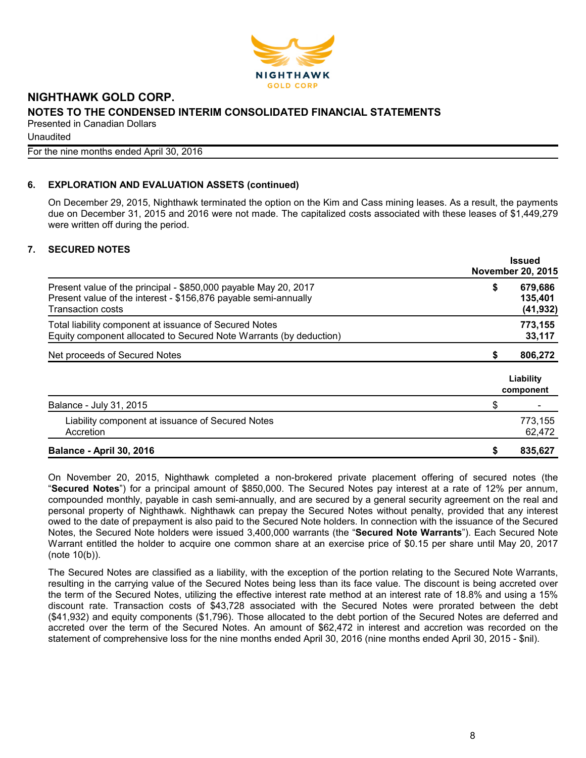

**Unaudited** 

For the nine months ended April 30, 2016

# **6. EXPLORATION AND EVALUATION ASSETS (continued)**

On December 29, 2015, Nighthawk terminated the option on the Kim and Cass mining leases. As a result, the payments due on December 31, 2015 and 2016 were not made. The capitalized costs associated with these leases of \$1,449,279 were written off during the period.

# **7. SECURED NOTES**

|                                                                                                                                                                |    | <b>Issued</b><br><b>November 20, 2015</b> |
|----------------------------------------------------------------------------------------------------------------------------------------------------------------|----|-------------------------------------------|
| Present value of the principal - \$850,000 payable May 20, 2017<br>Present value of the interest - \$156,876 payable semi-annually<br><b>Transaction costs</b> | \$ | 679,686<br>135,401<br>(41, 932)           |
| Total liability component at issuance of Secured Notes<br>Equity component allocated to Secured Note Warrants (by deduction)                                   |    | 773,155<br>33,117                         |
| Net proceeds of Secured Notes                                                                                                                                  | S  | 806,272                                   |
|                                                                                                                                                                |    | Liability<br>component                    |
| Balance - July 31, 2015                                                                                                                                        | \$ |                                           |
| Liability component at issuance of Secured Notes<br>Accretion                                                                                                  |    | 773,155<br>62,472                         |
| <b>Balance - April 30, 2016</b>                                                                                                                                |    | 835,627                                   |

On November 20, 2015, Nighthawk completed a non-brokered private placement offering of secured notes (the "**Secured Notes**") for a principal amount of \$850,000. The Secured Notes pay interest at a rate of 12% per annum, compounded monthly, payable in cash semi-annually, and are secured by a general security agreement on the real and personal property of Nighthawk. Nighthawk can prepay the Secured Notes without penalty, provided that any interest owed to the date of prepayment is also paid to the Secured Note holders. In connection with the issuance of the Secured Notes, the Secured Note holders were issued 3,400,000 warrants (the "**Secured Note Warrants**"). Each Secured Note Warrant entitled the holder to acquire one common share at an exercise price of \$0.15 per share until May 20, 2017 (note 10(b)).

The Secured Notes are classified as a liability, with the exception of the portion relating to the Secured Note Warrants, resulting in the carrying value of the Secured Notes being less than its face value. The discount is being accreted over the term of the Secured Notes, utilizing the effective interest rate method at an interest rate of 18.8% and using a 15% discount rate. Transaction costs of \$43,728 associated with the Secured Notes were prorated between the debt (\$41,932) and equity components (\$1,796). Those allocated to the debt portion of the Secured Notes are deferred and accreted over the term of the Secured Notes. An amount of \$62,472 in interest and accretion was recorded on the statement of comprehensive loss for the nine months ended April 30, 2016 (nine months ended April 30, 2015 - \$nil).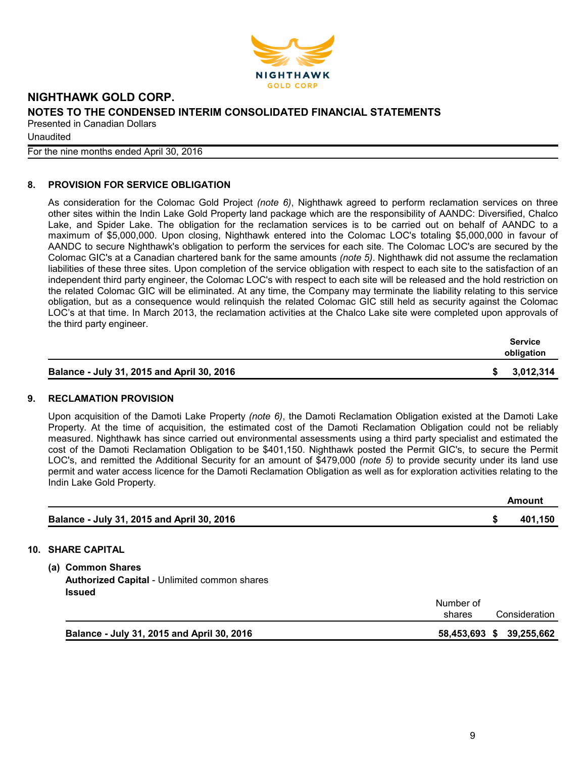

**Unaudited** 

For the nine months ended April 30, 2016

# **8. PROVISION FOR SERVICE OBLIGATION**

As consideration for the Colomac Gold Project *(note 6)*, Nighthawk agreed to perform reclamation services on three other sites within the Indin Lake Gold Property land package which are the responsibility of AANDC: Diversified, Chalco Lake, and Spider Lake. The obligation for the reclamation services is to be carried out on behalf of AANDC to a maximum of \$5,000,000. Upon closing, Nighthawk entered into the Colomac LOC's totaling \$5,000,000 in favour of AANDC to secure Nighthawk's obligation to perform the services for each site. The Colomac LOC's are secured by the Colomac GIC's at a Canadian chartered bank for the same amounts *(note 5)*. Nighthawk did not assume the reclamation liabilities of these three sites. Upon completion of the service obligation with respect to each site to the satisfaction of an independent third party engineer, the Colomac LOC's with respect to each site will be released and the hold restriction on the related Colomac GIC will be eliminated. At any time, the Company may terminate the liability relating to this service obligation, but as a consequence would relinquish the related Colomac GIC still held as security against the Colomac LOC's at that time. In March 2013, the reclamation activities at the Chalco Lake site were completed upon approvals of the third party engineer.

|                                            |  | <b>Service</b><br>obligation |  |
|--------------------------------------------|--|------------------------------|--|
| Balance - July 31, 2015 and April 30, 2016 |  | \$3,012,314                  |  |

# **9. RECLAMATION PROVISION**

Upon acquisition of the Damoti Lake Property *(note 6)*, the Damoti Reclamation Obligation existed at the Damoti Lake Property. At the time of acquisition, the estimated cost of the Damoti Reclamation Obligation could not be reliably measured. Nighthawk has since carried out environmental assessments using a third party specialist and estimated the cost of the Damoti Reclamation Obligation to be \$401,150. Nighthawk posted the Permit GIC's, to secure the Permit LOC's, and remitted the Additional Security for an amount of \$479,000 *(note 5)* to provide security under its land use permit and water access licence for the Damoti Reclamation Obligation as well as for exploration activities relating to the Indin Lake Gold Property.

|                                                                                           |                     |   | <b>Amount</b> |
|-------------------------------------------------------------------------------------------|---------------------|---|---------------|
| Balance - July 31, 2015 and April 30, 2016                                                |                     | S | 401,150       |
| <b>10. SHARE CAPITAL</b>                                                                  |                     |   |               |
| (a) Common Shares<br><b>Authorized Capital - Unlimited common shares</b><br><b>Issued</b> |                     |   |               |
|                                                                                           | Number of<br>shares |   | Consideration |
| Balance - July 31, 2015 and April 30, 2016                                                | 58,453,693 \$       |   | 39,255,662    |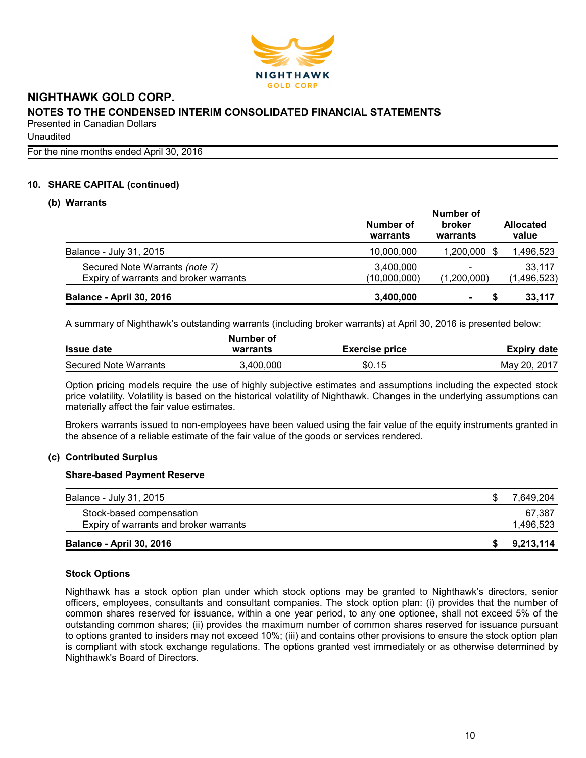

**Unaudited** 

For the nine months ended April 30, 2016

#### **10. SHARE CAPITAL (continued)**

#### **(b) Warrants**

|                                                                          | Number of                 |                                         |                           |  |
|--------------------------------------------------------------------------|---------------------------|-----------------------------------------|---------------------------|--|
|                                                                          | Number of<br>warrants     | broker<br>warrants                      | <b>Allocated</b><br>value |  |
| Balance - July 31, 2015                                                  | 10,000,000                | 1,200,000                               | 1,496,523                 |  |
| Secured Note Warrants (note 7)<br>Expiry of warrants and broker warrants | 3,400,000<br>(10,000,000) | $\overline{\phantom{a}}$<br>(1,200,000) | 33,117<br>(1, 496, 523)   |  |
| <b>Balance - April 30, 2016</b>                                          | 3,400,000                 | $\blacksquare$                          | 33,117                    |  |

A summary of Nighthawk's outstanding warrants (including broker warrants) at April 30, 2016 is presented below:

|                       | Number of |                       |              |
|-----------------------|-----------|-----------------------|--------------|
| <b>Issue date</b>     | warrants  | <b>Exercise price</b> | Expiry date  |
| Secured Note Warrants | 3.400.000 | \$0.15                | May 20, 2017 |

Option pricing models require the use of highly subjective estimates and assumptions including the expected stock price volatility. Volatility is based on the historical volatility of Nighthawk. Changes in the underlying assumptions can materially affect the fair value estimates.

Brokers warrants issued to non-employees have been valued using the fair value of the equity instruments granted in the absence of a reliable estimate of the fair value of the goods or services rendered.

#### **(c) Contributed Surplus**

#### **Share-based Payment Reserve**

| Balance - July 31, 2015                | 7.649.204 |
|----------------------------------------|-----------|
| Stock-based compensation               | 67.387    |
| Expiry of warrants and broker warrants | 1,496,523 |
| <b>Balance - April 30, 2016</b>        | 9,213,114 |

#### **Stock Options**

Nighthawk has a stock option plan under which stock options may be granted to Nighthawk's directors, senior officers, employees, consultants and consultant companies. The stock option plan: (i) provides that the number of common shares reserved for issuance, within a one year period, to any one optionee, shall not exceed 5% of the outstanding common shares; (ii) provides the maximum number of common shares reserved for issuance pursuant to options granted to insiders may not exceed 10%; (iii) and contains other provisions to ensure the stock option plan is compliant with stock exchange regulations. The options granted vest immediately or as otherwise determined by Nighthawk's Board of Directors.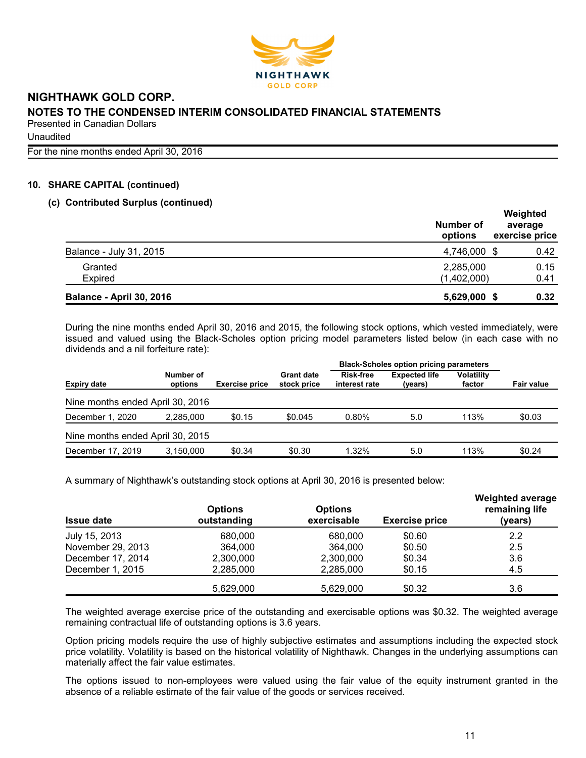

**Unaudited** 

For the nine months ended April 30, 2016

# **10. SHARE CAPITAL (continued)**

#### **(c) Contributed Surplus (continued)**

|                                 | Number of<br>options     | Weighted<br>average<br>exercise price |
|---------------------------------|--------------------------|---------------------------------------|
| Balance - July 31, 2015         | 4,746,000 \$             | 0.42                                  |
| Granted<br>Expired              | 2,285,000<br>(1,402,000) | 0.15<br>0.41                          |
| <b>Balance - April 30, 2016</b> | 5,629,000 \$             | 0.32                                  |

During the nine months ended April 30, 2016 and 2015, the following stock options, which vested immediately, were issued and valued using the Black-Scholes option pricing model parameters listed below (in each case with no dividends and a nil forfeiture rate):

|                                  | <b>Black-Scholes option pricing parameters</b> |                       |                                  |                                   |                                 |                             |                   |
|----------------------------------|------------------------------------------------|-----------------------|----------------------------------|-----------------------------------|---------------------------------|-----------------------------|-------------------|
| <b>Expiry date</b>               | Number of<br>options                           | <b>Exercise price</b> | <b>Grant date</b><br>stock price | <b>Risk-free</b><br>interest rate | <b>Expected life</b><br>(years) | <b>Volatility</b><br>factor | <b>Fair value</b> |
| Nine months ended April 30, 2016 |                                                |                       |                                  |                                   |                                 |                             |                   |
| December 1, 2020                 | 2.285.000                                      | \$0.15                | \$0.045                          | 0.80%                             | 5.0                             | 113%                        | \$0.03            |
| Nine months ended April 30, 2015 |                                                |                       |                                  |                                   |                                 |                             |                   |
| December 17, 2019                | 3.150.000                                      | \$0.34                | \$0.30                           | 1.32%                             | 5.0                             | 113%                        | \$0.24            |

A summary of Nighthawk's outstanding stock options at April 30, 2016 is presented below:

| <b>Issue date</b> | <b>Options</b><br>outstanding | <b>Options</b><br>exercisable | <b>Exercise price</b> | <b>Weighted average</b><br>remaining life<br>(years) |
|-------------------|-------------------------------|-------------------------------|-----------------------|------------------------------------------------------|
| July 15, 2013     | 680,000                       | 680,000                       | \$0.60                | 2.2                                                  |
| November 29, 2013 | 364,000                       | 364,000                       | \$0.50                | 2.5                                                  |
| December 17, 2014 | 2,300,000                     | 2,300,000                     | \$0.34                | 3.6                                                  |
| December 1, 2015  | 2,285,000                     | 2,285,000                     | \$0.15                | 4.5                                                  |
|                   | 5,629,000                     | 5,629,000                     | \$0.32                | 3.6                                                  |

The weighted average exercise price of the outstanding and exercisable options was \$0.32. The weighted average remaining contractual life of outstanding options is 3.6 years.

Option pricing models require the use of highly subjective estimates and assumptions including the expected stock price volatility. Volatility is based on the historical volatility of Nighthawk. Changes in the underlying assumptions can materially affect the fair value estimates.

The options issued to non-employees were valued using the fair value of the equity instrument granted in the absence of a reliable estimate of the fair value of the goods or services received.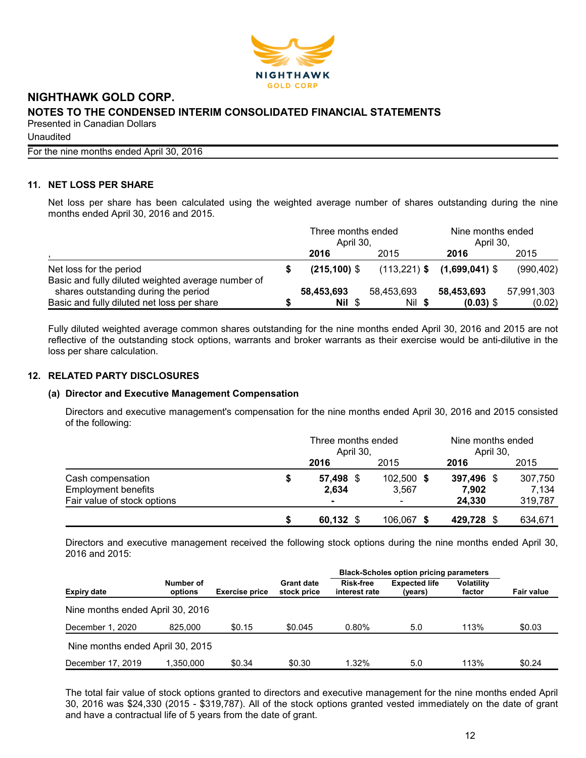

**Unaudited** 

For the nine months ended April 30, 2016

# **11. NET LOSS PER SHARE**

Net loss per share has been calculated using the weighted average number of shares outstanding during the nine months ended April 30, 2016 and 2015.

|                                                                               | Three months ended<br>April 30. |                |            | Nine months ended<br>April 30.  |            |
|-------------------------------------------------------------------------------|---------------------------------|----------------|------------|---------------------------------|------------|
|                                                                               |                                 | 2016           | 2015       | 2016                            | 2015       |
| Net loss for the period<br>Basic and fully diluted weighted average number of |                                 | $(215.100)$ \$ |            | $(113,221)$ \$ $(1,699,041)$ \$ | (990, 402) |
| shares outstanding during the period                                          |                                 | 58,453,693     | 58,453,693 | 58,453,693                      | 57,991,303 |
| Basic and fully diluted net loss per share                                    |                                 | Nil \$         | Nil \$     | $(0.03)$ \$                     | (0.02)     |

Fully diluted weighted average common shares outstanding for the nine months ended April 30, 2016 and 2015 are not reflective of the outstanding stock options, warrants and broker warrants as their exercise would be anti-dilutive in the loss per share calculation.

## **12. RELATED PARTY DISCLOSURES**

#### **(a) Director and Executive Management Compensation**

Directors and executive management's compensation for the nine months ended April 30, 2016 and 2015 consisted of the following:

|                             |   | Three months ended<br>April 30, |            | Nine months ended<br>April 30, |         |  |
|-----------------------------|---|---------------------------------|------------|--------------------------------|---------|--|
|                             |   | 2016                            | 2015       | 2016                           | 2015    |  |
| Cash compensation           | S | 57,498 \$                       | 102,500 \$ | 397,496 \$                     | 307,750 |  |
| <b>Employment benefits</b>  |   | 2,634                           | 3,567      | 7,902                          | 7.134   |  |
| Fair value of stock options |   |                                 |            | 24.330                         | 319,787 |  |
|                             | S | 60,132 \$                       | 106,067 \$ | 429,728                        | 634,671 |  |

Directors and executive management received the following stock options during the nine months ended April 30, 2016 and 2015:

|                                  |                      |                       |                                  | <b>Black-Scholes option pricing parameters</b> |                                 |                             |                   |
|----------------------------------|----------------------|-----------------------|----------------------------------|------------------------------------------------|---------------------------------|-----------------------------|-------------------|
| <b>Expiry date</b>               | Number of<br>options | <b>Exercise price</b> | <b>Grant date</b><br>stock price | <b>Risk-free</b><br>interest rate              | <b>Expected life</b><br>(years) | <b>Volatility</b><br>factor | <b>Fair value</b> |
| Nine months ended April 30, 2016 |                      |                       |                                  |                                                |                                 |                             |                   |
| December 1, 2020                 | 825,000              | \$0.15                | \$0.045                          | $0.80\%$                                       | 5.0                             | 113%                        | \$0.03            |
| Nine months ended April 30, 2015 |                      |                       |                                  |                                                |                                 |                             |                   |
| December 17, 2019                | 1.350.000            | \$0.34                | \$0.30                           | $1.32\%$                                       | 5.0                             | 113%                        | \$0.24            |

The total fair value of stock options granted to directors and executive management for the nine months ended April 30, 2016 was \$24,330 (2015 - \$319,787). All of the stock options granted vested immediately on the date of grant and have a contractual life of 5 years from the date of grant.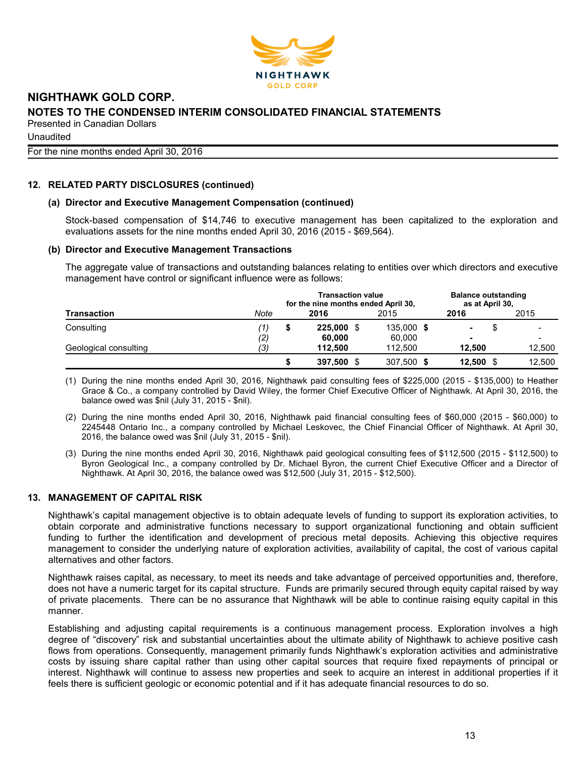

# **NIGHTHAWK GOLD CORP. NOTES TO THE CONDENSED INTERIM CONSOLIDATED FINANCIAL STATEMENTS**

Presented in Canadian Dollars **Unaudited** For the nine months ended April 30, 2016

# **12. RELATED PARTY DISCLOSURES (continued)**

#### **(a) Director and Executive Management Compensation (continued)**

Stock-based compensation of \$14,746 to executive management has been capitalized to the exploration and evaluations assets for the nine months ended April 30, 2016 (2015 - \$69,564).

#### **(b) Director and Executive Management Transactions**

The aggregate value of transactions and outstanding balances relating to entities over which directors and executive management have control or significant influence were as follows:

|                       |      | <b>Balance outstanding</b><br>as at April 30, |            |  |            |        |  |        |  |
|-----------------------|------|-----------------------------------------------|------------|--|------------|--------|--|--------|--|
| Transaction           | Note |                                               | 2016       |  | 2015       | 2016   |  | 2015   |  |
| Consulting            | (1)  |                                               | 225,000 \$ |  | 135,000 \$ | ۰.     |  |        |  |
|                       | (2)  |                                               | 60.000     |  | 60,000     |        |  |        |  |
| Geological consulting | (3)  |                                               | 112.500    |  | 112.500    | 12.500 |  | 12.500 |  |
|                       |      |                                               | 397,500 \$ |  | 307,500 \$ | 12,500 |  | 12.500 |  |

(1) During the nine months ended April 30, 2016, Nighthawk paid consulting fees of \$225,000 (2015 - \$135,000) to Heather Grace & Co., a company controlled by David Wiley, the former Chief Executive Officer of Nighthawk. At April 30, 2016, the balance owed was \$nil (July 31, 2015 - \$nil).

- (2) During the nine months ended April 30, 2016, Nighthawk paid financial consulting fees of \$60,000 (2015 \$60,000) to 2245448 Ontario Inc., a company controlled by Michael Leskovec, the Chief Financial Officer of Nighthawk. At April 30, 2016, the balance owed was \$nil (July 31, 2015 - \$nil).
- (3) During the nine months ended April 30, 2016, Nighthawk paid geological consulting fees of \$112,500 (2015 \$112,500) to Byron Geological Inc., a company controlled by Dr. Michael Byron, the current Chief Executive Officer and a Director of Nighthawk. At April 30, 2016, the balance owed was \$12,500 (July 31, 2015 - \$12,500).

# **13. MANAGEMENT OF CAPITAL RISK**

Nighthawk's capital management objective is to obtain adequate levels of funding to support its exploration activities, to obtain corporate and administrative functions necessary to support organizational functioning and obtain sufficient funding to further the identification and development of precious metal deposits. Achieving this objective requires management to consider the underlying nature of exploration activities, availability of capital, the cost of various capital alternatives and other factors.

Nighthawk raises capital, as necessary, to meet its needs and take advantage of perceived opportunities and, therefore, does not have a numeric target for its capital structure. Funds are primarily secured through equity capital raised by way of private placements. There can be no assurance that Nighthawk will be able to continue raising equity capital in this manner.

Establishing and adjusting capital requirements is a continuous management process. Exploration involves a high degree of "discovery" risk and substantial uncertainties about the ultimate ability of Nighthawk to achieve positive cash flows from operations. Consequently, management primarily funds Nighthawk's exploration activities and administrative costs by issuing share capital rather than using other capital sources that require fixed repayments of principal or interest. Nighthawk will continue to assess new properties and seek to acquire an interest in additional properties if it feels there is sufficient geologic or economic potential and if it has adequate financial resources to do so.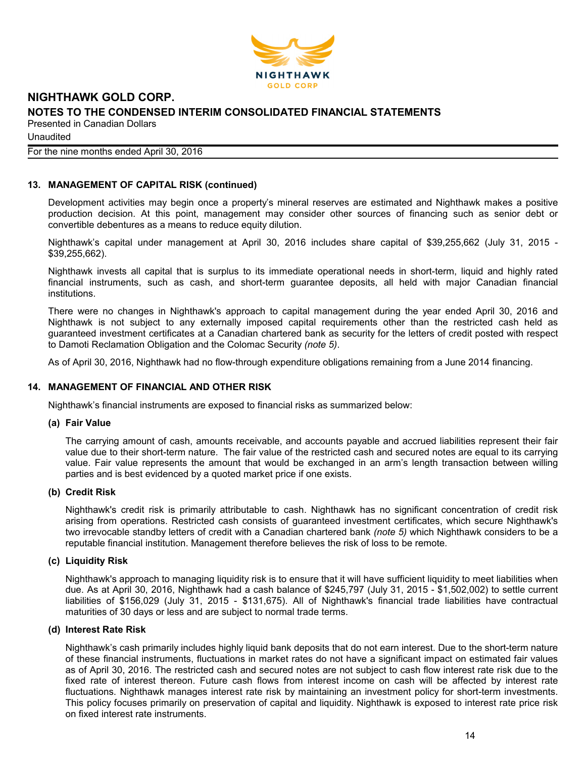

**Unaudited** 

# For the nine months ended April 30, 2016

# **13. MANAGEMENT OF CAPITAL RISK (continued)**

Development activities may begin once a property's mineral reserves are estimated and Nighthawk makes a positive production decision. At this point, management may consider other sources of financing such as senior debt or convertible debentures as a means to reduce equity dilution.

Nighthawk's capital under management at April 30, 2016 includes share capital of \$39,255,662 (July 31, 2015 - \$39,255,662).

Nighthawk invests all capital that is surplus to its immediate operational needs in short-term, liquid and highly rated financial instruments, such as cash, and short-term guarantee deposits, all held with major Canadian financial institutions.

There were no changes in Nighthawk's approach to capital management during the year ended April 30, 2016 and Nighthawk is not subject to any externally imposed capital requirements other than the restricted cash held as guaranteed investment certificates at a Canadian chartered bank as security for the letters of credit posted with respect to Damoti Reclamation Obligation and the Colomac Security *(note 5)*.

As of April 30, 2016, Nighthawk had no flow-through expenditure obligations remaining from a June 2014 financing.

# **14. MANAGEMENT OF FINANCIAL AND OTHER RISK**

Nighthawk's financial instruments are exposed to financial risks as summarized below:

#### **(a) Fair Value**

The carrying amount of cash, amounts receivable, and accounts payable and accrued liabilities represent their fair value due to their short-term nature. The fair value of the restricted cash and secured notes are equal to its carrying value. Fair value represents the amount that would be exchanged in an arm's length transaction between willing parties and is best evidenced by a quoted market price if one exists.

#### **(b) Credit Risk**

Nighthawk's credit risk is primarily attributable to cash. Nighthawk has no significant concentration of credit risk arising from operations. Restricted cash consists of guaranteed investment certificates, which secure Nighthawk's two irrevocable standby letters of credit with a Canadian chartered bank *(note 5)* which Nighthawk considers to be a reputable financial institution. Management therefore believes the risk of loss to be remote.

#### **(c) Liquidity Risk**

Nighthawk's approach to managing liquidity risk is to ensure that it will have sufficient liquidity to meet liabilities when due. As at April 30, 2016, Nighthawk had a cash balance of \$245,797 (July 31, 2015 - \$1,502,002) to settle current liabilities of \$156,029 (July 31, 2015 - \$131,675). All of Nighthawk's financial trade liabilities have contractual maturities of 30 days or less and are subject to normal trade terms.

#### **(d) Interest Rate Risk**

Nighthawk's cash primarily includes highly liquid bank deposits that do not earn interest. Due to the short-term nature of these financial instruments, fluctuations in market rates do not have a significant impact on estimated fair values as of April 30, 2016. The restricted cash and secured notes are not subject to cash flow interest rate risk due to the fixed rate of interest thereon. Future cash flows from interest income on cash will be affected by interest rate fluctuations. Nighthawk manages interest rate risk by maintaining an investment policy for short-term investments. This policy focuses primarily on preservation of capital and liquidity. Nighthawk is exposed to interest rate price risk on fixed interest rate instruments.